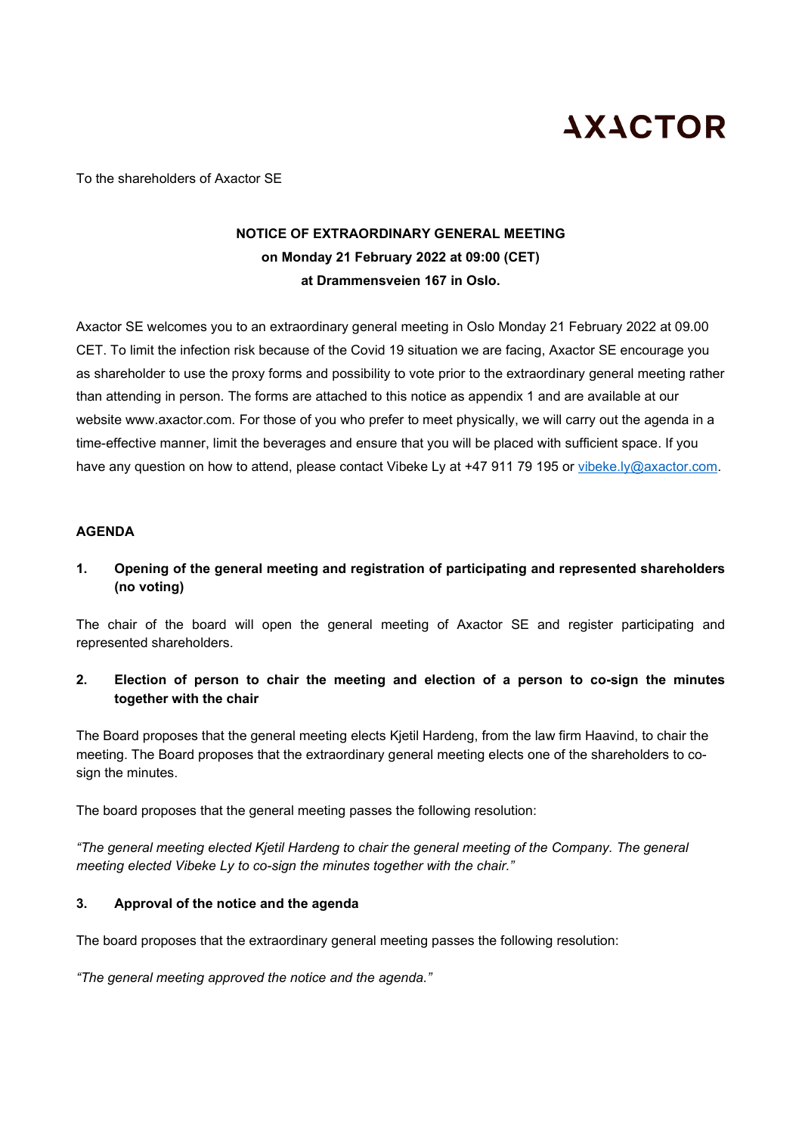# **AXACTOR**

To the shareholders of Axactor SE

### **NOTICE OF EXTRAORDINARY GENERAL MEETING on Monday 21 February 2022 at 09:00 (CET) at Drammensveien 167 in Oslo.**

Axactor SE welcomes you to an extraordinary general meeting in Oslo Monday 21 February 2022 at 09.00 CET. To limit the infection risk because of the Covid 19 situation we are facing, Axactor SE encourage you as shareholder to use the proxy forms and possibility to vote prior to the extraordinary general meeting rather than attending in person. The forms are attached to this notice as appendix 1 and are available at our website www.axactor.com. For those of you who prefer to meet physically, we will carry out the agenda in a time-effective manner, limit the beverages and ensure that you will be placed with sufficient space. If you have any question on how to attend, please contact Vibeke Ly at +47 911 79 195 or [vibeke.ly@axactor.com.](mailto:vibeke.ly@axactor.com)

#### **AGENDA**

**1. Opening of the general meeting and registration of participating and represented shareholders (no voting)**

The chair of the board will open the general meeting of Axactor SE and register participating and represented shareholders.

**2. Election of person to chair the meeting and election of a person to co-sign the minutes together with the chair** 

The Board proposes that the general meeting elects Kjetil Hardeng, from the law firm Haavind, to chair the meeting. The Board proposes that the extraordinary general meeting elects one of the shareholders to cosign the minutes.

The board proposes that the general meeting passes the following resolution:

*"The general meeting elected Kjetil Hardeng to chair the general meeting of the Company. The general meeting elected Vibeke Ly to co-sign the minutes together with the chair."*

### **3. Approval of the notice and the agenda**

The board proposes that the extraordinary general meeting passes the following resolution:

*"The general meeting approved the notice and the agenda."*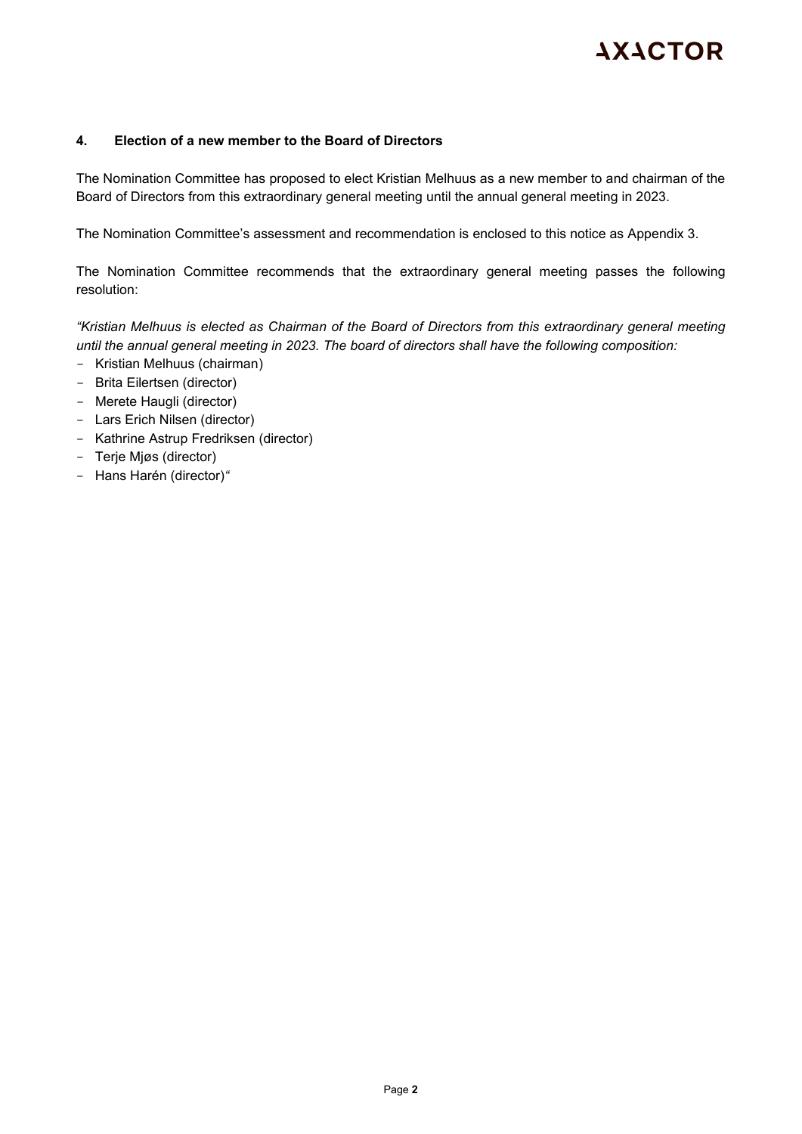## **AXACTOR**

#### **4. Election of a new member to the Board of Directors**

The Nomination Committee has proposed to elect Kristian Melhuus as a new member to and chairman of the Board of Directors from this extraordinary general meeting until the annual general meeting in 2023.

The Nomination Committee's assessment and recommendation is enclosed to this notice as Appendix 3.

The Nomination Committee recommends that the extraordinary general meeting passes the following resolution:

*"Kristian Melhuus is elected as Chairman of the Board of Directors from this extraordinary general meeting until the annual general meeting in 2023. The board of directors shall have the following composition:*

- Kristian Melhuus (chairman)
- Brita Eilertsen (director)
- Merete Haugli (director)
- Lars Erich Nilsen (director)
- Kathrine Astrup Fredriksen (director)
- Terje Mjøs (director)
- Hans Harén (director)*"*